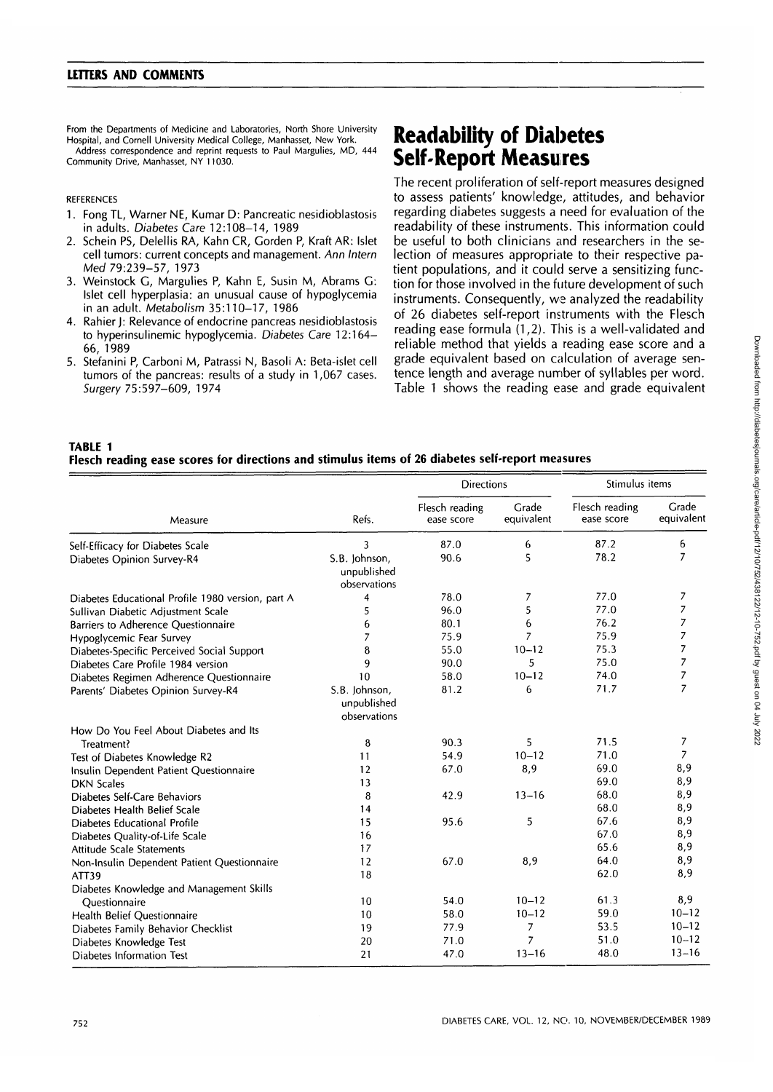From the Departments of Medicine and Laboratories, North Shore University Hospital, and Cornell University Medical College, Manhasset, New York. Address correspondence and reprint requests to Paul Margulies, MD, 444 Community Drive, Manhasset, NY 11030.

## REFERENCES

- 1. Fong TL, Warner NE, Kumar D: Pancreatic nesidioblastosis in adults. Diabetes Care 12:108-14, 1989
- 2. Schein PS, Delellis RA, Kahn CR, Gorden P, Kraft AR: Islet cell tumors: current concepts and management. Ann Intern Med 79:239-57, 1973
- 3. Weinstock G, Margulies P, Kahn E, Susin M, Abrams G: Islet cell hyperplasia: an unusual cause of hypoglycemia in an adult. Metabolism 35:110-17, 1986
- 4. Rahier J: Relevance of endocrine pancreas nesidioblastosis to hyperinsulinemic hypoglycemia. Diabetes Care 12:164- 66, 1989
- 5. Stefanini P, Carboni M, Patrassi N, Basoli A: Beta-islet cell tumors of the pancreas: results of a study in 1,067 cases. Surgery 75:597-609, 1974

## **Readability of Diabetes Self-Report Measures**

The recent proliferation of self-report measures designed to assess patients' knowledge, attitudes, and behavior regarding diabetes suggests a need for evaluation of the readability of these instruments. This information could be useful to both clinicians and researchers in the selection of measures appropriate to their respective patient populations, and it could serve a sensitizing function for those involved in the future development of such instruments. Consequently, we analyzed the readability of 26 diabetes self-report instruments with the Flesch reading ease formula (1,2). This is a well-validated and reliable method that yields a reading ease score and a grade equivalent based on calculation of average sentence length and average number of syllables per word. Table 1 shows the reading ease and grade equivalent

## **TABLE 1 Flesch reading ease scores for directions and stimulus items of 26 diabetes self-report measures**

| Measure                                           | Refs.                                        | <b>Directions</b>            |                     | Stimulus items               |                     |
|---------------------------------------------------|----------------------------------------------|------------------------------|---------------------|------------------------------|---------------------|
|                                                   |                                              | Flesch reading<br>ease score | Grade<br>equivalent | Flesch reading<br>ease score | Grade<br>equivalent |
| Self-Efficacy for Diabetes Scale                  | 3                                            | 87.0                         | 6                   | 87.2                         | 6                   |
| Diabetes Opinion Survey-R4                        | S.B. Johnson,<br>unpublished<br>observations | 90.6                         | 5                   | 78.2                         | $\overline{7}$      |
| Diabetes Educational Profile 1980 version, part A | 4                                            | 78.0                         | 7                   | 77.0                         | 7                   |
| Sullivan Diabetic Adjustment Scale                | 5                                            | 96.0                         | 5                   | 77.0                         | 7                   |
| Barriers to Adherence Questionnaire               | 6                                            | 80.1                         | 6                   | 76.2                         | 7                   |
| Hypoglycemic Fear Survey                          | 7                                            | 75.9                         | $\overline{z}$      | 75.9                         | 7                   |
| Diabetes-Specific Perceived Social Support        | 8                                            | 55.0                         | $10 - 12$           | 75.3                         | 7                   |
| Diabetes Care Profile 1984 version                | 9                                            | 90.0                         | 5.                  | 75.0                         | $\overline{7}$      |
| Diabetes Regimen Adherence Questionnaire          | 10                                           | 58.0                         | $10 - 12$           | 74.0                         | 7                   |
| Parents' Diabetes Opinion Survey-R4               | S.B. Johnson,<br>unpublished<br>observations | 81.2                         | 6                   | 71.7                         | 7                   |
| How Do You Feel About Diabetes and Its            |                                              |                              |                     |                              |                     |
| Treatment?                                        | 8                                            | 90.3                         | 5                   | 71.5                         | 7                   |
| Test of Diabetes Knowledge R2                     | 11                                           | 54.9                         | $10 - 12$           | 71.0                         | 7                   |
| Insulin Dependent Patient Questionnaire           | 12                                           | 67.0                         | 8,9                 | 69.0                         | 8,9                 |
| <b>DKN Scales</b>                                 | 13                                           |                              |                     | 69.0                         | 8,9                 |
| Diabetes Self-Care Behaviors                      | 8                                            | 42.9                         | $13 - 16$           | 68.0                         | 8,9                 |
| Diabetes Health Belief Scale                      | 14                                           |                              |                     | 68.0                         | 8,9                 |
| Diabetes Educational Profile                      | 15                                           | 95.6                         | 5                   | 67.6                         | 8,9                 |
| Diabetes Quality-of-Life Scale                    | 16                                           |                              |                     | 67.0                         | 8,9                 |
| Attitude Scale Statements                         | 17                                           |                              |                     | 65.6                         | 8,9                 |
| Non-Insulin Dependent Patient Questionnaire       | 12                                           | 67.0                         | 8,9                 | 64.0                         | 8,9                 |
| ATT39                                             | 18                                           |                              |                     | 62.0                         | 8,9                 |
| Diabetes Knowledge and Management Skills          |                                              |                              |                     |                              |                     |
| Questionnaire                                     | 10                                           | 54.0                         | $10 - 12$           | 61.3                         | 8,9                 |
| <b>Health Belief Questionnaire</b>                | 10                                           | 58.0                         | $10 - 12$           | 59.0                         | $10 - 12$           |
| Diabetes Family Behavior Checklist                | 19                                           | 77.9                         | 7                   | 53.5                         | $10 - 12$           |
| Diabetes Knowledge Test                           | 20                                           | 71.0                         | 7                   | 51.0                         | $10 - 12$           |
| Diabetes Information Test                         | 21                                           | 47.0                         | $13 - 16$           | 48.0                         | $13 - 16$           |